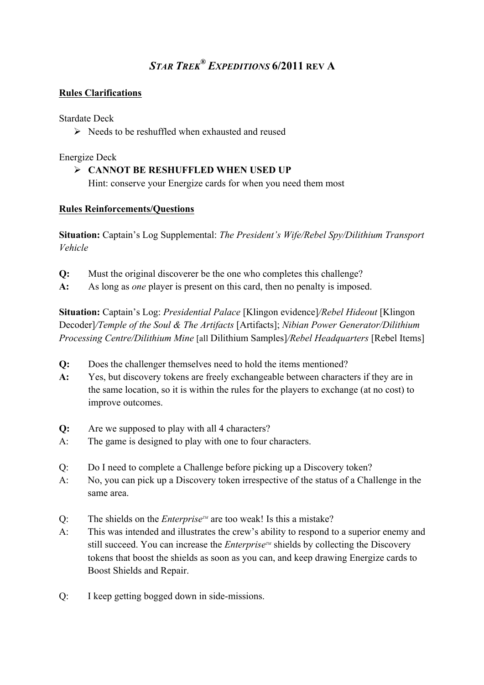# *STAR TREK® EXPEDITIONS* **6/2011 REV A**

# **Rules Clarifications**

#### Stardate Deck

 $\triangleright$  Needs to be reshuffled when exhausted and reused

#### Energize Deck

! **CANNOT BE RESHUFFLED WHEN USED UP** Hint: conserve your Energize cards for when you need them most

# **Rules Reinforcements/Questions**

**Situation:** Captain's Log Supplemental: *The President's Wife/Rebel Spy/Dilithium Transport Vehicle*

- **Q:** Must the original discoverer be the one who completes this challenge?
- **A:** As long as *one* player is present on this card, then no penalty is imposed.

**Situation:** Captain's Log: *Presidential Palace* [Klingon evidence]*/Rebel Hideout* [Klingon Decoder]*/Temple of the Soul & The Artifacts* [Artifacts]; *Nibian Power Generator/Dilithium Processing Centre/Dilithium Mine* [all Dilithium Samples]*/Rebel Headquarters* [Rebel Items]

- **Q:** Does the challenger themselves need to hold the items mentioned?
- **A:** Yes, but discovery tokens are freely exchangeable between characters if they are in the same location, so it is within the rules for the players to exchange (at no cost) to improve outcomes.
- **Q:** Are we supposed to play with all 4 characters?
- A: The game is designed to play with one to four characters.
- Q: Do I need to complete a Challenge before picking up a Discovery token?
- A: No, you can pick up a Discovery token irrespective of the status of a Challenge in the same area.
- Q: The shields on the *Enterprise*  $\mathbb{Z}$  are too weak! Is this a mistake?
- A: This was intended and illustrates the crew's ability to respond to a superior enemy and still succeed. You can increase the *Enterprise*<sup> $M$ </sup> shields by collecting the Discovery tokens that boost the shields as soon as you can, and keep drawing Energize cards to Boost Shields and Repair.
- Q: I keep getting bogged down in side-missions.